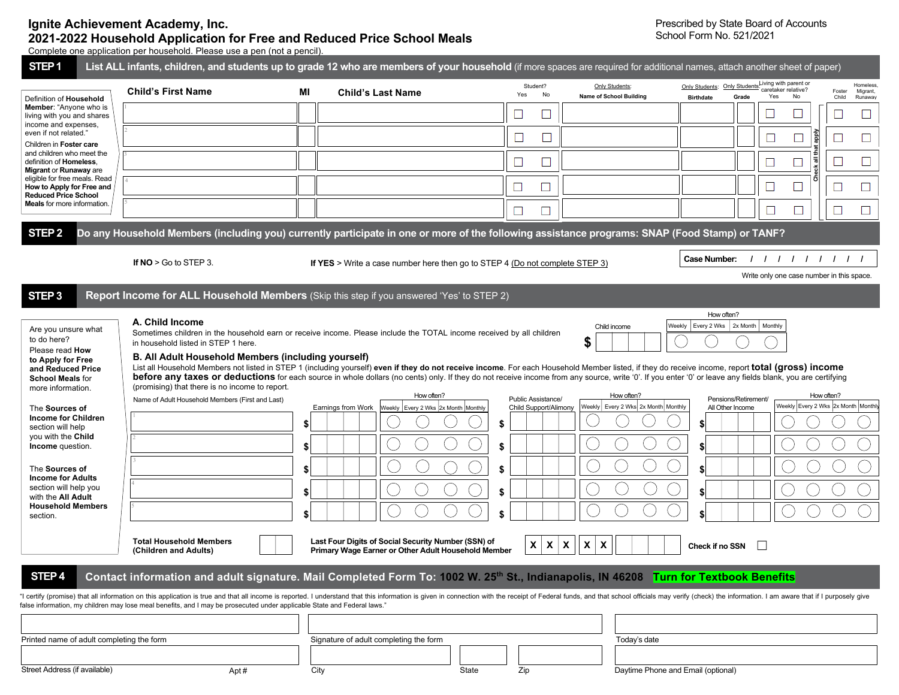## **Ignite Achievement Academy, Inc. 2021-2022 Household Application for Free and Reduced Price School Meals**

Prescribed by State Board of Accounts School Form No. 521/2021

Complete one application per household. Please use a pen (not a pencil).

| STEP <sub>1</sub>                                                                                                                                                                                                                                                                                                                                     |                                                                                                                                                                                                                                                                                                                                                                                                                                                                                                                                                                                                                                                                                                                                       |    | List ALL infants, children, and students up to grade 12 who are members of your household (if more spaces are required for additional names, attach another sheet of paper)                                                   |                                                   |                                                           |                                                                                                                     |                                                    |  |  |  |  |
|-------------------------------------------------------------------------------------------------------------------------------------------------------------------------------------------------------------------------------------------------------------------------------------------------------------------------------------------------------|---------------------------------------------------------------------------------------------------------------------------------------------------------------------------------------------------------------------------------------------------------------------------------------------------------------------------------------------------------------------------------------------------------------------------------------------------------------------------------------------------------------------------------------------------------------------------------------------------------------------------------------------------------------------------------------------------------------------------------------|----|-------------------------------------------------------------------------------------------------------------------------------------------------------------------------------------------------------------------------------|---------------------------------------------------|-----------------------------------------------------------|---------------------------------------------------------------------------------------------------------------------|----------------------------------------------------|--|--|--|--|
| Definition of Household                                                                                                                                                                                                                                                                                                                               | <b>Child's First Name</b>                                                                                                                                                                                                                                                                                                                                                                                                                                                                                                                                                                                                                                                                                                             | ΜI | <b>Child's Last Name</b>                                                                                                                                                                                                      | Student?<br>Yes<br>No                             | Only Students:<br>Name of School Building                 | Only Students: Only Students-Living with parent or<br>caretaker relative?<br>Yes<br>No<br>Grade<br><b>Birthdate</b> | Homeless<br>Migrant,<br>Foster<br>Child<br>Runaway |  |  |  |  |
| Member: "Anyone who is<br>living with you and shares<br>income and expenses,<br>even if not related."<br>Children in Foster care<br>and children who meet the<br>definition of Homeless,<br>Migrant or Runaway are<br>eligible for free meals. Read<br>How to Apply for Free and<br><b>Reduced Price School</b><br><b>Meals</b> for more information. |                                                                                                                                                                                                                                                                                                                                                                                                                                                                                                                                                                                                                                                                                                                                       |    |                                                                                                                                                                                                                               |                                                   |                                                           | ⊔                                                                                                                   | ⊔                                                  |  |  |  |  |
|                                                                                                                                                                                                                                                                                                                                                       |                                                                                                                                                                                                                                                                                                                                                                                                                                                                                                                                                                                                                                                                                                                                       |    |                                                                                                                                                                                                                               |                                                   |                                                           | <u>iade</u>                                                                                                         | $\Box$                                             |  |  |  |  |
|                                                                                                                                                                                                                                                                                                                                                       |                                                                                                                                                                                                                                                                                                                                                                                                                                                                                                                                                                                                                                                                                                                                       |    |                                                                                                                                                                                                                               | $\Box$                                            |                                                           | all the                                                                                                             | $\Box$<br>$\Box$                                   |  |  |  |  |
|                                                                                                                                                                                                                                                                                                                                                       |                                                                                                                                                                                                                                                                                                                                                                                                                                                                                                                                                                                                                                                                                                                                       |    |                                                                                                                                                                                                                               |                                                   |                                                           |                                                                                                                     |                                                    |  |  |  |  |
|                                                                                                                                                                                                                                                                                                                                                       |                                                                                                                                                                                                                                                                                                                                                                                                                                                                                                                                                                                                                                                                                                                                       |    |                                                                                                                                                                                                                               | $\Box$                                            |                                                           |                                                                                                                     | ⊔<br>$\sqcup$                                      |  |  |  |  |
|                                                                                                                                                                                                                                                                                                                                                       |                                                                                                                                                                                                                                                                                                                                                                                                                                                                                                                                                                                                                                                                                                                                       |    |                                                                                                                                                                                                                               | $\Box$                                            |                                                           | Ш                                                                                                                   | □<br>⊔                                             |  |  |  |  |
| STEP <sub>2</sub>                                                                                                                                                                                                                                                                                                                                     |                                                                                                                                                                                                                                                                                                                                                                                                                                                                                                                                                                                                                                                                                                                                       |    | Do any Household Members (including you) currently participate in one or more of the following assistance programs: SNAP (Food Stamp) or TANF?                                                                                |                                                   |                                                           |                                                                                                                     |                                                    |  |  |  |  |
|                                                                                                                                                                                                                                                                                                                                                       | If $NO > Go$ to STEP 3.                                                                                                                                                                                                                                                                                                                                                                                                                                                                                                                                                                                                                                                                                                               |    | If YES > Write a case number here then go to STEP 4 (Do not complete STEP $3$ )                                                                                                                                               |                                                   |                                                           | <b>Case Number:</b><br>111111111                                                                                    |                                                    |  |  |  |  |
|                                                                                                                                                                                                                                                                                                                                                       |                                                                                                                                                                                                                                                                                                                                                                                                                                                                                                                                                                                                                                                                                                                                       |    |                                                                                                                                                                                                                               |                                                   |                                                           | Write only one case number in this space.                                                                           |                                                    |  |  |  |  |
| STEP <sub>3</sub>                                                                                                                                                                                                                                                                                                                                     |                                                                                                                                                                                                                                                                                                                                                                                                                                                                                                                                                                                                                                                                                                                                       |    | Report Income for ALL Household Members (Skip this step if you answered 'Yes' to STEP 2)                                                                                                                                      |                                                   |                                                           |                                                                                                                     |                                                    |  |  |  |  |
| Are you unsure what<br>to do here?<br>Please read How<br>to Apply for Free<br>and Reduced Price                                                                                                                                                                                                                                                       | How often?<br>A. Child Income<br>Weekly Every 2 Wks 2x Month<br>Monthly<br>Child income<br>Sometimes children in the household earn or receive income. Please include the TOTAL income received by all children<br>\$<br>in household listed in STEP 1 here.<br>B. All Adult Household Members (including yourself)<br>List all Household Members not listed in STEP 1 (including yourself) even if they do not receive income. For each Household Member listed, if they do receive income, report total (gross) income<br>before any taxes or deductions for each source in whole dollars (no cents) only. If they do not receive income from any source, write '0'. If you enter '0' or leave any fields blank, you are certifying |    |                                                                                                                                                                                                                               |                                                   |                                                           |                                                                                                                     |                                                    |  |  |  |  |
| <b>School Meals for</b><br>more information.                                                                                                                                                                                                                                                                                                          | (promising) that there is no income to report.                                                                                                                                                                                                                                                                                                                                                                                                                                                                                                                                                                                                                                                                                        |    | How often?                                                                                                                                                                                                                    |                                                   | How often?                                                | How often?                                                                                                          |                                                    |  |  |  |  |
| The Sources of<br><b>Income for Children</b>                                                                                                                                                                                                                                                                                                          | Name of Adult Household Members (First and Last)                                                                                                                                                                                                                                                                                                                                                                                                                                                                                                                                                                                                                                                                                      | \$ | Earnings from Work<br>Weekly Every 2 Wks 2x Month Monthly                                                                                                                                                                     | Public Assistance/<br>Child Support/Alimony<br>\$ | Weekly Every 2 Wks 2x Month Monthly                       | Pensions/Retirement/<br>Weekly Every 2 Wks 2x Month Monthly<br>All Other Income                                     |                                                    |  |  |  |  |
| section will help<br>you with the Child<br>Income question.<br>The Sources of<br><b>Income for Adults</b><br>section will help you<br>with the All Adult                                                                                                                                                                                              |                                                                                                                                                                                                                                                                                                                                                                                                                                                                                                                                                                                                                                                                                                                                       | \$ |                                                                                                                                                                                                                               | \$                                                |                                                           |                                                                                                                     |                                                    |  |  |  |  |
|                                                                                                                                                                                                                                                                                                                                                       |                                                                                                                                                                                                                                                                                                                                                                                                                                                                                                                                                                                                                                                                                                                                       | \$ |                                                                                                                                                                                                                               | \$                                                |                                                           |                                                                                                                     |                                                    |  |  |  |  |
|                                                                                                                                                                                                                                                                                                                                                       |                                                                                                                                                                                                                                                                                                                                                                                                                                                                                                                                                                                                                                                                                                                                       | \$ |                                                                                                                                                                                                                               | \$                                                |                                                           |                                                                                                                     |                                                    |  |  |  |  |
| <b>Household Members</b><br>section.                                                                                                                                                                                                                                                                                                                  |                                                                                                                                                                                                                                                                                                                                                                                                                                                                                                                                                                                                                                                                                                                                       |    |                                                                                                                                                                                                                               |                                                   |                                                           |                                                                                                                     |                                                    |  |  |  |  |
|                                                                                                                                                                                                                                                                                                                                                       | <b>Total Household Members</b><br>(Children and Adults)                                                                                                                                                                                                                                                                                                                                                                                                                                                                                                                                                                                                                                                                               |    | Last Four Digits of Social Security Number (SSN) of<br>Primary Wage Earner or Other Adult Household Member                                                                                                                    | $\mathsf{x}$<br>$\boldsymbol{\mathsf{X}}$         | $\mathbf{x}$<br>$\mathbf{x}$<br>$\boldsymbol{\mathsf{x}}$ | Check if no SSN                                                                                                     |                                                    |  |  |  |  |
| STEP <sub>4</sub>                                                                                                                                                                                                                                                                                                                                     |                                                                                                                                                                                                                                                                                                                                                                                                                                                                                                                                                                                                                                                                                                                                       |    | Contact information and adult signature. Mail Completed Form To: 1002 W. 25 <sup>th</sup> St., Indianapolis, IN 46208 Turn for Textbook Benefits                                                                              |                                                   |                                                           |                                                                                                                     |                                                    |  |  |  |  |
|                                                                                                                                                                                                                                                                                                                                                       | false information, my children may lose meal benefits, and I may be prosecuted under applicable State and Federal laws."                                                                                                                                                                                                                                                                                                                                                                                                                                                                                                                                                                                                              |    | "I certify (promise) that all information on this application is true and that all income is reported. I understand that this information is given in connection with the receipt of Federal funds, and that school officials |                                                   |                                                           |                                                                                                                     |                                                    |  |  |  |  |
|                                                                                                                                                                                                                                                                                                                                                       |                                                                                                                                                                                                                                                                                                                                                                                                                                                                                                                                                                                                                                                                                                                                       |    |                                                                                                                                                                                                                               |                                                   |                                                           |                                                                                                                     |                                                    |  |  |  |  |
| Printed name of adult completing the form                                                                                                                                                                                                                                                                                                             |                                                                                                                                                                                                                                                                                                                                                                                                                                                                                                                                                                                                                                                                                                                                       |    | Signature of adult completing the form                                                                                                                                                                                        | Today's date                                      |                                                           |                                                                                                                     |                                                    |  |  |  |  |
| Street Address (if available)                                                                                                                                                                                                                                                                                                                         | Apt#                                                                                                                                                                                                                                                                                                                                                                                                                                                                                                                                                                                                                                                                                                                                  |    | City<br>State                                                                                                                                                                                                                 | Zip                                               | Daytime Phone and Email (optional)                        |                                                                                                                     |                                                    |  |  |  |  |